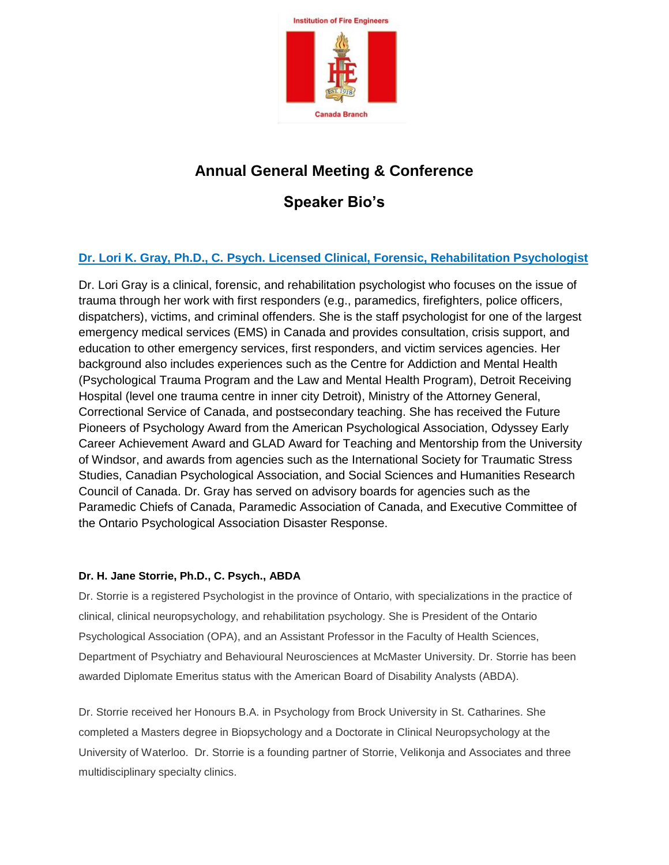

# **Annual General Meeting & Conference**

## **Speaker Bio's**

### **Dr. Lori K. Gray, Ph.D., C. Psych. Licensed Clinical, Forensic, Rehabilitation Psychologist**

Dr. Lori Gray is a clinical, forensic, and rehabilitation psychologist who focuses on the issue of trauma through her work with first responders (e.g., paramedics, firefighters, police officers, dispatchers), victims, and criminal offenders. She is the staff psychologist for one of the largest emergency medical services (EMS) in Canada and provides consultation, crisis support, and education to other emergency services, first responders, and victim services agencies. Her background also includes experiences such as the Centre for Addiction and Mental Health (Psychological Trauma Program and the Law and Mental Health Program), Detroit Receiving Hospital (level one trauma centre in inner city Detroit), Ministry of the Attorney General, Correctional Service of Canada, and postsecondary teaching. She has received the Future Pioneers of Psychology Award from the American Psychological Association, Odyssey Early Career Achievement Award and GLAD Award for Teaching and Mentorship from the University of Windsor, and awards from agencies such as the International Society for Traumatic Stress Studies, Canadian Psychological Association, and Social Sciences and Humanities Research Council of Canada. Dr. Gray has served on advisory boards for agencies such as the Paramedic Chiefs of Canada, Paramedic Association of Canada, and Executive Committee of the Ontario Psychological Association Disaster Response.

#### **Dr. H. Jane Storrie, Ph.D., C. Psych., ABDA**

Dr. Storrie is a registered Psychologist in the province of Ontario, with specializations in the practice of clinical, clinical neuropsychology, and rehabilitation psychology. She is President of the Ontario Psychological Association (OPA), and an Assistant Professor in the Faculty of Health Sciences, Department of Psychiatry and Behavioural Neurosciences at McMaster University. Dr. Storrie has been awarded Diplomate Emeritus status with the American Board of Disability Analysts (ABDA).

Dr. Storrie received her Honours B.A. in Psychology from Brock University in St. Catharines. She completed a Masters degree in Biopsychology and a Doctorate in Clinical Neuropsychology at the University of Waterloo. Dr. Storrie is a founding partner of Storrie, Velikonja and Associates and three multidisciplinary specialty clinics.